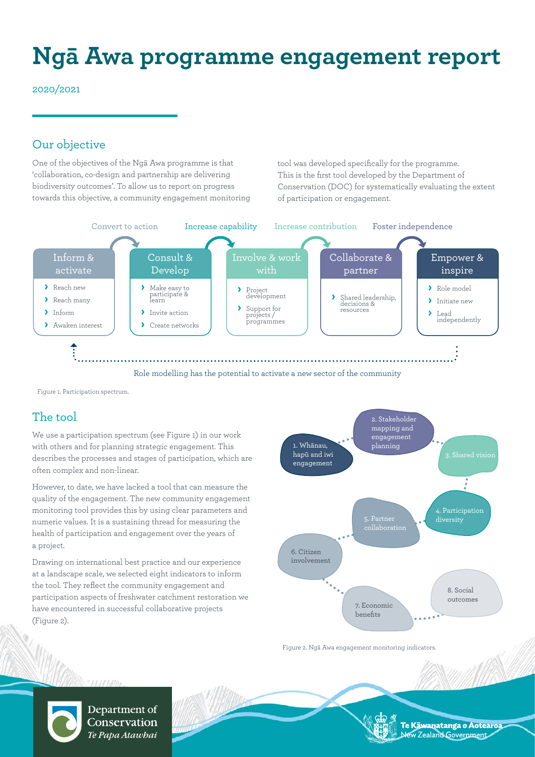# **Ngā Awa programme engagement report**

2020/2021

## Our objective

One of the objectives of the Ngā Awa programme is that 'collaboration, co-design and partnership are delivering biodiversity outcomes'. To allow us to report on progress towards this objective, a community engagement monitoring tool was developed specifically for the programme. This is the first tool developed by the Department of Conservation (DOC) for systematically evaluating the extent of participation or engagement.



Figure 1. Participation spectrum.

# The tool

We use a participation spectrum (see Figure 1) in our work with others and for planning strategic engagement. This describes the processes and stages of participation, which are often complex and non-linear.

However, to date, we have lacked a tool that can measure the quality of the engagement. The new community engagement monitoring tool provides this by using clear parameters and numeric values. It is a sustaining thread for measuring the health of participation and engagement over the years of a project.

Drawing on international best practice and our experience at a landscape scale, we selected eight indicators to inform the tool. They reflect the community engagement and participation aspects of freshwater catchment restoration we have encountered in successful collaborative projects (Figure 2).



Figure 2. Ngā Awa engagement monitoring indicators.



Department of Conservation Te Papa Atawbai

Te Kāwanatanga o Aotearoa ew Zealand Government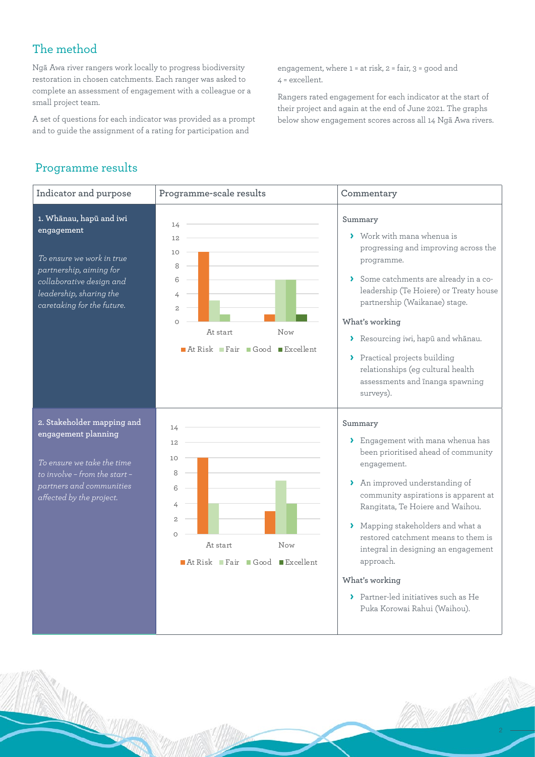# The method

Ngā Awa river rangers work locally to progress biodiversity restoration in chosen catchments. Each ranger was asked to complete an assessment of engagement with a colleague or a small project team.

A set of questions for each indicator was provided as a prompt and to guide the assignment of a rating for participation and

engagement, where 1 = at risk, 2 = fair, 3 = good and 4 = excellent.

Rangers rated engagement for each indicator at the start of their project and again at the end of June 2021. The graphs below show engagement scores across all 14 Ngā Awa rivers.

## Programme results

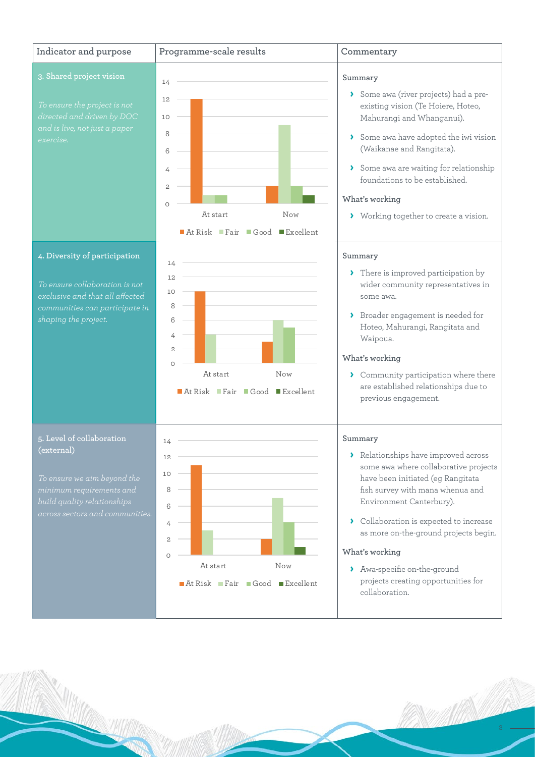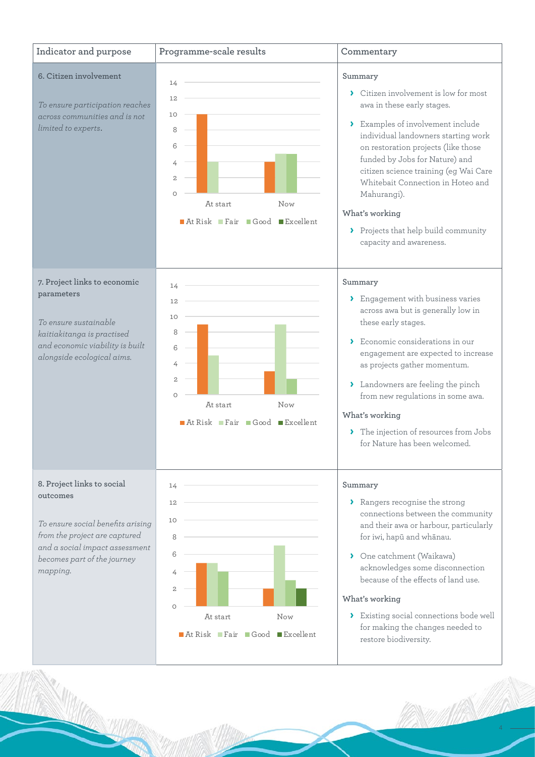